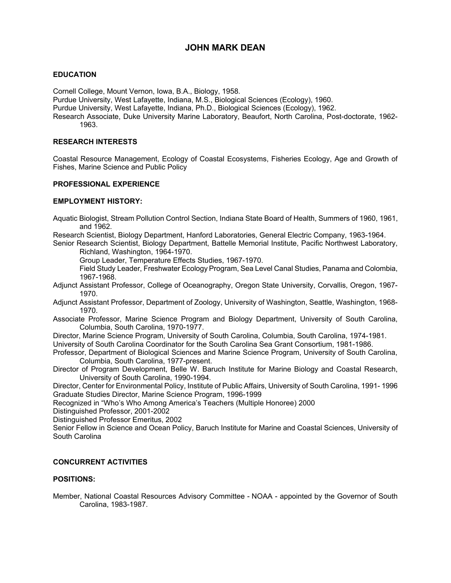# **JOHN MARK DEAN**

## **EDUCATION**

Cornell College, Mount Vernon, Iowa, B.A., Biology, 1958.

Purdue University, West Lafayette, Indiana, M.S., Biological Sciences (Ecology), 1960.

Purdue University, West Lafayette, Indiana, Ph.D., Biological Sciences (Ecology), 1962.

Research Associate, Duke University Marine Laboratory, Beaufort, North Carolina, Post-doctorate, 1962- 1963.

### **RESEARCH INTERESTS**

Coastal Resource Management, Ecology of Coastal Ecosystems, Fisheries Ecology, Age and Growth of Fishes, Marine Science and Public Policy

## **PROFESSIONAL EXPERIENCE**

## **EMPLOYMENT HISTORY:**

Aquatic Biologist, Stream Pollution Control Section, Indiana State Board of Health, Summers of 1960, 1961, and 1962.

Research Scientist, Biology Department, Hanford Laboratories, General Electric Company, 1963-1964.

Senior Research Scientist, Biology Department, Battelle Memorial Institute, Pacific Northwest Laboratory, Richland, Washington, 1964-1970.

Group Leader, Temperature Effects Studies, 1967-1970.

Field Study Leader, Freshwater Ecology Program, Sea Level Canal Studies, Panama and Colombia, 1967-1968.

Adjunct Assistant Professor, College of Oceanography, Oregon State University, Corvallis, Oregon, 1967- 1970.

Adjunct Assistant Professor, Department of Zoology, University of Washington, Seattle, Washington, 1968- 1970.

Associate Professor, Marine Science Program and Biology Department, University of South Carolina, Columbia, South Carolina, 1970-1977.

Director, Marine Science Program, University of South Carolina, Columbia, South Carolina, 1974-1981.

University of South Carolina Coordinator for the South Carolina Sea Grant Consortium, 1981-1986.

Professor, Department of Biological Sciences and Marine Science Program, University of South Carolina, Columbia, South Carolina, 1977-present.

Director of Program Development, Belle W. Baruch Institute for Marine Biology and Coastal Research, University of South Carolina, 1990-1994.

Director, Center for Environmental Policy, Institute of Public Affairs, University of South Carolina, 1991- 1996 Graduate Studies Director, Marine Science Program, 1996-1999

Recognized in "Who's Who Among America's Teachers (Multiple Honoree) 2000

Distinguished Professor, 2001-2002

Distinguished Professor Emeritus, 2002

Senior Fellow in Science and Ocean Policy, Baruch Institute for Marine and Coastal Sciences, University of South Carolina

## **CONCURRENT ACTIVITIES**

### **POSITIONS:**

Member, National Coastal Resources Advisory Committee - NOAA - appointed by the Governor of South Carolina, 1983-1987.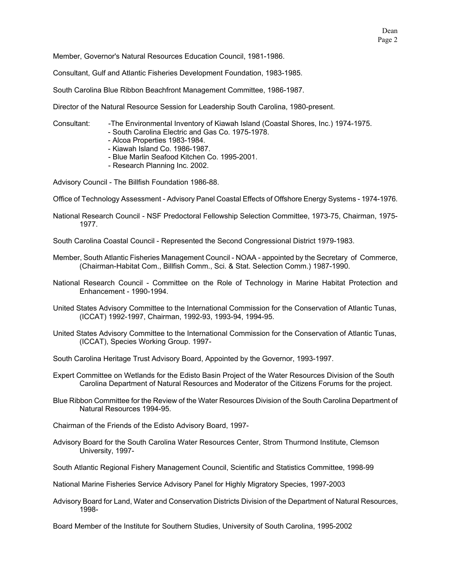Member, Governor's Natural Resources Education Council, 1981-1986.

Consultant, Gulf and Atlantic Fisheries Development Foundation, 1983-1985.

South Carolina Blue Ribbon Beachfront Management Committee, 1986-1987.

Director of the Natural Resource Session for Leadership South Carolina, 1980-present.

Consultant: -The Environmental Inventory of Kiawah Island (Coastal Shores, Inc.) 1974-1975.

- South Carolina Electric and Gas Co. 1975-1978.

- Alcoa Properties 1983-1984.
- Kiawah Island Co. 1986-1987.
- Blue Marlin Seafood Kitchen Co. 1995-2001.
- Research Planning Inc. 2002.

Advisory Council - The Billfish Foundation 1986-88.

Office of Technology Assessment - Advisory Panel Coastal Effects of Offshore Energy Systems - 1974-1976.

National Research Council - NSF Predoctoral Fellowship Selection Committee, 1973-75, Chairman, 1975- 1977.

South Carolina Coastal Council - Represented the Second Congressional District 1979-1983.

- Member, South Atlantic Fisheries Management Council NOAA appointed by the Secretary of Commerce, (Chairman-Habitat Com., Billfish Comm., Sci. & Stat. Selection Comm.) 1987-1990.
- National Research Council Committee on the Role of Technology in Marine Habitat Protection and Enhancement - 1990-1994.
- United States Advisory Committee to the International Commission for the Conservation of Atlantic Tunas, (ICCAT) 1992-1997, Chairman, 1992-93, 1993-94, 1994-95.
- United States Advisory Committee to the International Commission for the Conservation of Atlantic Tunas, (ICCAT), Species Working Group. 1997-
- South Carolina Heritage Trust Advisory Board, Appointed by the Governor, 1993-1997.
- Expert Committee on Wetlands for the Edisto Basin Project of the Water Resources Division of the South Carolina Department of Natural Resources and Moderator of the Citizens Forums for the project.
- Blue Ribbon Committee for the Review of the Water Resources Division of the South Carolina Department of Natural Resources 1994-95.
- Chairman of the Friends of the Edisto Advisory Board, 1997-
- Advisory Board for the South Carolina Water Resources Center, Strom Thurmond Institute, Clemson University, 1997-
- South Atlantic Regional Fishery Management Council, Scientific and Statistics Committee, 1998-99
- National Marine Fisheries Service Advisory Panel for Highly Migratory Species, 1997-2003
- Advisory Board for Land, Water and Conservation Districts Division of the Department of Natural Resources, 1998-

Board Member of the Institute for Southern Studies, University of South Carolina, 1995-2002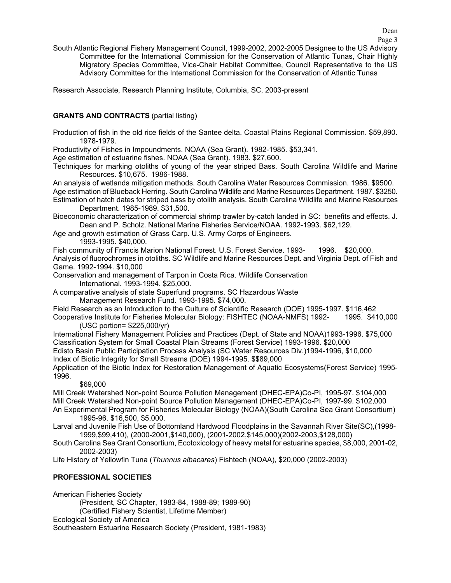Page 3

South Atlantic Regional Fishery Management Council, 1999-2002, 2002-2005 Designee to the US Advisory Committee for the International Commission for the Conservation of Atlantic Tunas, Chair Highly Migratory Species Committee, Vice-Chair Habitat Committee, Council Representative to the US Advisory Committee for the International Commission for the Conservation of Atlantic Tunas

Research Associate, Research Planning Institute, Columbia, SC, 2003-present

## **GRANTS AND CONTRACTS** (partial listing)

Production of fish in the old rice fields of the Santee delta. Coastal Plains Regional Commission. \$59,890. 1978-1979.

Productivity of Fishes in Impoundments. NOAA (Sea Grant). 1982-1985. \$53,341.

Age estimation of estuarine fishes. NOAA (Sea Grant). 1983. \$27,600.

Techniques for marking otoliths of young of the year striped Bass. South Carolina Wildlife and Marine Resources. \$10,675. 1986-1988.

An analysis of wetlands mitigation methods. South Carolina Water Resources Commission. 1986. \$9500.

- Age estimation of Blueback Herring. South Carolina Wildlife and Marine Resources Department. 1987. \$3250. Estimation of hatch dates for striped bass by otolith analysis. South Carolina Wildlife and Marine Resources Department. 1985-1989. \$31,500.
- Bioeconomic characterization of commercial shrimp trawler by-catch landed in SC: benefits and effects. J. Dean and P. Scholz. National Marine Fisheries Service/NOAA. 1992-1993. \$62,129.
- Age and growth estimation of Grass Carp. U.S. Army Corps of Engineers.

1993-1995. \$40,000.

Fish community of Francis Marion National Forest. U.S. Forest Service. 1993- 1996. \$20,000. Analysis of fluorochromes in otoliths. SC Wildlife and Marine Resources Dept. and Virginia Dept. of Fish and Game. 1992-1994. \$10,000

Conservation and management of Tarpon in Costa Rica. Wildlife Conservation International. 1993-1994. \$25,000.

A comparative analysis of state Superfund programs. SC Hazardous Waste

Management Research Fund. 1993-1995. \$74,000.

Field Research as an Introduction to the Culture of Scientific Research (DOE) 1995-1997. \$116,462 Cooperative Institute for Fisheries Molecular Biology: FISHTEC (NOAA-NMFS) 1992- 1995. \$410,000

(USC portion= \$225,000/yr)

International Fishery Management Policies and Practices (Dept. of State and NOAA)1993-1996. \$75,000 Classification System for Small Coastal Plain Streams (Forest Service) 1993-1996. \$20,000 Edisto Basin Public Participation Process Analysis (SC Water Resources Div.)1994-1996, \$10,000 Index of Biotic Integrity for Small Streams (DOE) 1994-1995. \$\$89,000

Application of the Biotic Index for Restoration Management of Aquatic Ecosystems(Forest Service) 1995- 1996.

\$69,000

Mill Creek Watershed Non-point Source Pollution Management (DHEC-EPA)Co-PI, 1995-97. \$104,000 Mill Creek Watershed Non-point Source Pollution Management (DHEC-EPA)Co-PI, 1997-99. \$102,000 An Experimental Program for Fisheries Molecular Biology (NOAA)(South Carolina Sea Grant Consortium) 1995-96. \$16,500, \$5,000.

Larval and Juvenile Fish Use of Bottomland Hardwood Floodplains in the Savannah River Site(SC),(1998- 1999,\$99,410), (2000-2001,\$140,000), (2001-2002,\$145,000)(2002-2003,\$128,000)

South Carolina Sea Grant Consortium, Ecotoxicology of heavy metal for estuarine species, \$8,000, 2001-02, 2002-2003)

Life History of Yellowfin Tuna (*Thunnus albacares*) Fishtech (NOAA), \$20,000 (2002-2003)

## **PROFESSIONAL SOCIETIES**

American Fisheries Society

(President, SC Chapter, 1983-84, 1988-89; 1989-90)

(Certified Fishery Scientist, Lifetime Member)

Ecological Society of America

Southeastern Estuarine Research Society (President, 1981-1983)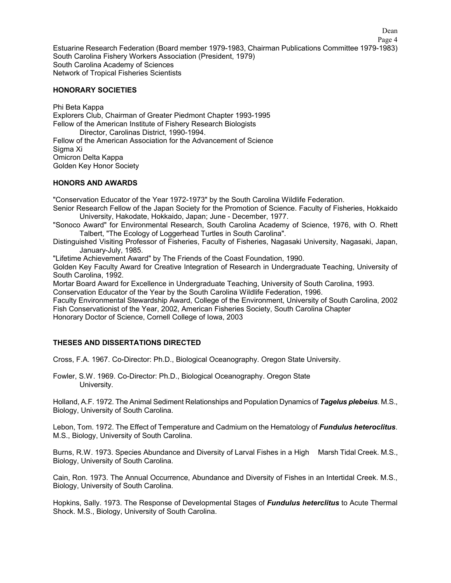Page 4 Estuarine Research Federation (Board member 1979-1983, Chairman Publications Committee 1979-1983) South Carolina Fishery Workers Association (President, 1979) South Carolina Academy of Sciences Network of Tropical Fisheries Scientists

#### **HONORARY SOCIETIES**

Phi Beta Kappa Explorers Club, Chairman of Greater Piedmont Chapter 1993-1995 Fellow of the American Institute of Fishery Research Biologists Director, Carolinas District, 1990-1994. Fellow of the American Association for the Advancement of Science Sigma Xi Omicron Delta Kappa Golden Key Honor Society

#### **HONORS AND AWARDS**

"Conservation Educator of the Year 1972-1973" by the South Carolina Wildlife Federation.

- Senior Research Fellow of the Japan Society for the Promotion of Science. Faculty of Fisheries, Hokkaido University, Hakodate, Hokkaido, Japan; June - December, 1977.
- "Sonoco Award" for Environmental Research, South Carolina Academy of Science, 1976, with O. Rhett Talbert, "The Ecology of Loggerhead Turtles in South Carolina".
- Distinguished Visiting Professor of Fisheries, Faculty of Fisheries, Nagasaki University, Nagasaki, Japan, January-July, 1985.

"Lifetime Achievement Award" by The Friends of the Coast Foundation, 1990.

Golden Key Faculty Award for Creative Integration of Research in Undergraduate Teaching, University of South Carolina, 1992.

Mortar Board Award for Excellence in Undergraduate Teaching, University of South Carolina, 1993.

Conservation Educator of the Year by the South Carolina Wildlife Federation, 1996.

Faculty Environmental Stewardship Award, College of the Environment, University of South Carolina, 2002 Fish Conservationist of the Year, 2002, American Fisheries Society, South Carolina Chapter Honorary Doctor of Science, Cornell College of Iowa, 2003

## **THESES AND DISSERTATIONS DIRECTED**

Cross, F.A. 1967. Co-Director: Ph.D., Biological Oceanography. Oregon State University.

Fowler, S.W. 1969. Co-Director: Ph.D., Biological Oceanography. Oregon State University.

Holland, A.F. 1972. The Animal Sediment Relationships and Population Dynamics of *Tagelus plebeius.* M.S., Biology, University of South Carolina.

Lebon, Tom. 1972. The Effect of Temperature and Cadmium on the Hematology of *Fundulus heteroclitus*. M.S., Biology, University of South Carolina.

Burns, R.W. 1973. Species Abundance and Diversity of Larval Fishes in a High Marsh Tidal Creek. M.S., Biology, University of South Carolina.

Cain, Ron. 1973. The Annual Occurrence, Abundance and Diversity of Fishes in an Intertidal Creek. M.S., Biology, University of South Carolina.

Hopkins, Sally. 1973. The Response of Developmental Stages of *Fundulus heterclitus* to Acute Thermal Shock. M.S., Biology, University of South Carolina.

Dean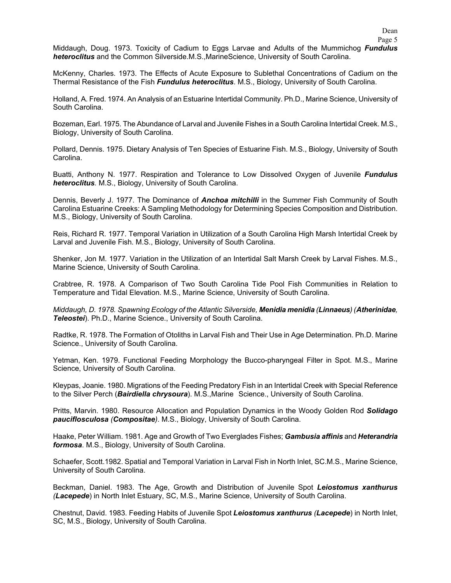Middaugh, Doug. 1973. Toxicity of Cadium to Eggs Larvae and Adults of the Mummichog *Fundulus heteroclitus* and the Common Silverside.M.S.,MarineScience, University of South Carolina.

McKenny, Charles. 1973. The Effects of Acute Exposure to Sublethal Concentrations of Cadium on the Thermal Resistance of the Fish *Fundulus heteroclitus*. M.S., Biology, University of South Carolina.

Holland, A. Fred. 1974. An Analysis of an Estuarine Intertidal Community. Ph.D., Marine Science, University of South Carolina.

Bozeman, Earl. 1975. The Abundance of Larval and Juvenile Fishes in a South Carolina Intertidal Creek. M.S., Biology, University of South Carolina.

Pollard, Dennis. 1975. Dietary Analysis of Ten Species of Estuarine Fish. M.S., Biology, University of South Carolina.

Buatti, Anthony N. 1977. Respiration and Tolerance to Low Dissolved Oxygen of Juvenile *Fundulus heteroclitus.* M.S., Biology, University of South Carolina.

Dennis, Beverly J. 1977. The Dominance of *Anchoa mitchilli* in the Summer Fish Community of South Carolina Estuarine Creeks: A Sampling Methodology for Determining Species Composition and Distribution. M.S., Biology, University of South Carolina.

Reis, Richard R. 1977. Temporal Variation in Utilization of a South Carolina High Marsh Intertidal Creek by Larval and Juvenile Fish. M.S., Biology, University of South Carolina.

Shenker, Jon M. 1977. Variation in the Utilization of an Intertidal Salt Marsh Creek by Larval Fishes. M.S., Marine Science, University of South Carolina.

Crabtree, R. 1978. A Comparison of Two South Carolina Tide Pool Fish Communities in Relation to Temperature and Tidal Elevation. M.S., Marine Science, University of South Carolina.

*Middaugh, D. 1978. Spawning Ecology of the Atlantic Silverside, Menidia menidia (Linnaeus) (Atherinidae, Teleostei*). Ph.D., Marine Science., University of South Carolina.

Radtke, R. 1978. The Formation of Otoliths in Larval Fish and Their Use in Age Determination. Ph.D. Marine Science., University of South Carolina.

Yetman, Ken. 1979. Functional Feeding Morphology the Bucco-pharyngeal Filter in Spot. M.S., Marine Science, University of South Carolina.

Kleypas, Joanie. 1980. Migrations of the Feeding Predatory Fish in an Intertidal Creek with Special Reference to the Silver Perch (*Bairdiella chrysoura*). M.S.,Marine Science., University of South Carolina.

Pritts, Marvin. 1980. Resource Allocation and Population Dynamics in the Woody Golden Rod *Solidago pauciflosculosa (Compositae)*. M.S., Biology, University of South Carolina.

Haake, Peter William. 1981. Age and Growth of Two Everglades Fishes; *Gambusia affinis* and *Heterandria formosa*. M.S., Biology, University of South Carolina.

Schaefer, Scott.1982. Spatial and Temporal Variation in Larval Fish in North Inlet, SC.M.S., Marine Science, University of South Carolina.

Beckman, Daniel. 1983. The Age, Growth and Distribution of Juvenile Spot *Leiostomus xanthurus (Lacepede*) in North Inlet Estuary, SC, M.S., Marine Science, University of South Carolina.

Chestnut, David. 1983. Feeding Habits of Juvenile Spot *Leiostomus xanthurus (Lacepede*) in North Inlet, SC, M.S., Biology, University of South Carolina.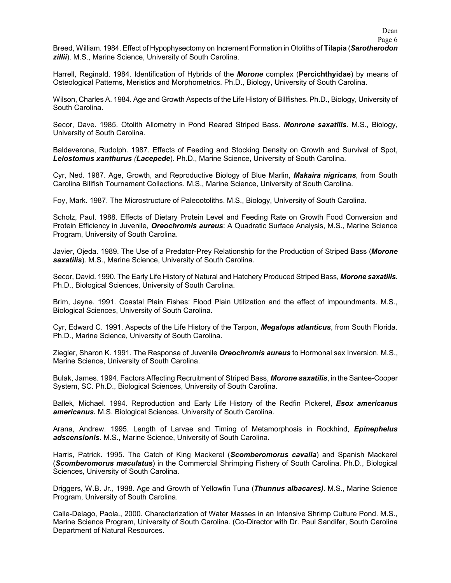Breed, William. 1984. Effect of Hypophysectomy on Increment Formation in Otoliths of **Tilapia** (*Sarotherodon zillii*). M.S., Marine Science, University of South Carolina.

Harrell, Reginald. 1984. Identification of Hybrids of the *Morone* complex (**Percichthyidae**) by means of Osteological Patterns, Meristics and Morphometrics. Ph.D., Biology, University of South Carolina.

Wilson, Charles A. 1984. Age and Growth Aspects of the Life History of Billfishes. Ph.D., Biology, University of South Carolina.

Secor, Dave. 1985. Otolith Allometry in Pond Reared Striped Bass. *Monrone saxatilis*. M.S., Biology, University of South Carolina.

Baldeverona, Rudolph. 1987. Effects of Feeding and Stocking Density on Growth and Survival of Spot, *Leiostomus xanthurus (Lacepede*). Ph.D., Marine Science, University of South Carolina.

Cyr, Ned. 1987. Age, Growth, and Reproductive Biology of Blue Marlin, *Makaira nigricans*, from South Carolina Billfish Tournament Collections. M.S., Marine Science, University of South Carolina.

Foy, Mark. 1987. The Microstructure of Paleootoliths. M.S., Biology, University of South Carolina.

Scholz, Paul. 1988. Effects of Dietary Protein Level and Feeding Rate on Growth Food Conversion and Protein Efficiency in Juvenile, *Oreochromis aureus*: A Quadratic Surface Analysis, M.S., Marine Science Program, University of South Carolina.

Javier, Ojeda. 1989. The Use of a Predator-Prey Relationship for the Production of Striped Bass (*Morone saxatilis*). M.S., Marine Science, University of South Carolina.

Secor, David. 1990. The Early Life History of Natural and Hatchery Produced Striped Bass, *Morone saxatilis*. Ph.D., Biological Sciences, University of South Carolina.

Brim, Jayne. 1991. Coastal Plain Fishes: Flood Plain Utilization and the effect of impoundments. M.S., Biological Sciences, University of South Carolina.

Cyr, Edward C. 1991. Aspects of the Life History of the Tarpon, *Megalops atlanticus*, from South Florida. Ph.D., Marine Science, University of South Carolina.

Ziegler, Sharon K. 1991. The Response of Juvenile *Oreochromis aureus* to Hormonal sex Inversion. M.S., Marine Science, University of South Carolina.

Bulak, James. 1994. Factors Affecting Recruitment of Striped Bass, *Morone saxatilis*, in the Santee-Cooper System, SC. Ph.D., Biological Sciences, University of South Carolina.

Ballek, Michael. 1994. Reproduction and Early Life History of the Redfin Pickerel, *Esox americanus americanus***.** M.S. Biological Sciences. University of South Carolina.

Arana, Andrew. 1995. Length of Larvae and Timing of Metamorphosis in Rockhind, *Epinephelus adscensionis*. M.S., Marine Science, University of South Carolina.

Harris, Patrick. 1995. The Catch of King Mackerel (*Scomberomorus cavalla*) and Spanish Mackerel (*Scomberomorus maculatus*) in the Commercial Shrimping Fishery of South Carolina. Ph.D., Biological Sciences, University of South Carolina.

Driggers, W.B. Jr., 1998. Age and Growth of Yellowfin Tuna (*Thunnus albacares)*. M.S., Marine Science Program, University of South Carolina.

Calle-Delago, Paola., 2000. Characterization of Water Masses in an Intensive Shrimp Culture Pond. M.S., Marine Science Program, University of South Carolina. (Co-Director with Dr. Paul Sandifer, South Carolina Department of Natural Resources.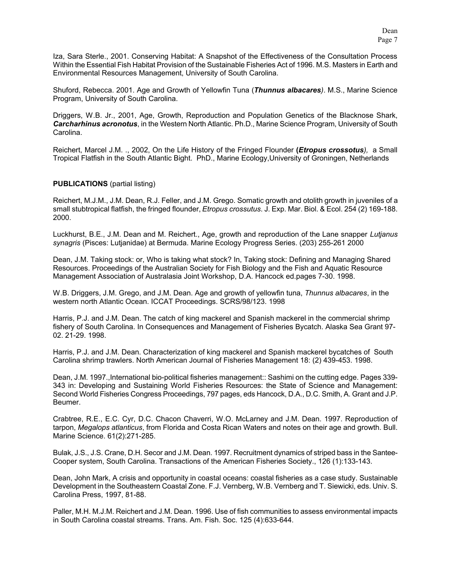Iza, Sara Sterle., 2001. Conserving Habitat: A Snapshot of the Effectiveness of the Consultation Process Within the Essential Fish Habitat Provision of the Sustainable Fisheries Act of 1996. M.S. Masters in Earth and Environmental Resources Management, University of South Carolina.

Shuford, Rebecca. 2001. Age and Growth of Yellowfin Tuna (*Thunnus albacares)*. M.S., Marine Science Program, University of South Carolina.

Driggers, W.B. Jr., 2001, Age, Growth, Reproduction and Population Genetics of the Blacknose Shark, *Carcharhinus acronotus*, in the Western North Atlantic. Ph.D., Marine Science Program, University of South Carolina.

Reichert, Marcel J.M. ., 2002, On the Life History of the Fringed Flounder **(***Etropus crossotus),* a Small Tropical Flatfish in the South Atlantic Bight. PhD., Marine Ecology,University of Groningen, Netherlands

### **PUBLICATIONS** (partial listing)

Reichert, M.J.M., J.M. Dean, R.J. Feller, and J.M. Grego. Somatic growth and otolith growth in juveniles of a small stubtropical flatfish, the fringed flounder, *Etropus crossutus*. J. Exp. Mar. Biol. & Ecol. 254 (2) 169-188. 2000.

Luckhurst, B.E., J.M. Dean and M. Reichert., Age, growth and reproduction of the Lane snapper *Lutjanus synagris* (Pisces: Lutjanidae) at Bermuda. Marine Ecology Progress Series. (203) 255-261 2000

Dean, J.M. Taking stock: or, Who is taking what stock? In, Taking stock: Defining and Managing Shared Resources. Proceedings of the Australian Society for Fish Biology and the Fish and Aquatic Resource Management Association of Australasia Joint Workshop, D.A. Hancock ed.pages 7-30. 1998.

W.B. Driggers, J.M. Grego, and J.M. Dean. Age and growth of yellowfin tuna, *Thunnus albacares*, in the western north Atlantic Ocean. ICCAT Proceedings. SCRS/98/123. 1998

Harris, P.J. and J.M. Dean. The catch of king mackerel and Spanish mackerel in the commercial shrimp fishery of South Carolina. In Consequences and Management of Fisheries Bycatch. Alaska Sea Grant 97- 02. 21-29. 1998.

Harris, P.J. and J.M. Dean. Characterization of king mackerel and Spanish mackerel bycatches of South Carolina shrimp trawlers. North American Journal of Fisheries Management 18: (2) 439-453. 1998.

Dean, J.M. 1997.,International bio-political fisheries management:: Sashimi on the cutting edge. Pages 339- 343 in: Developing and Sustaining World Fisheries Resources: the State of Science and Management: Second World Fisheries Congress Proceedings, 797 pages, eds Hancock, D.A., D.C. Smith, A. Grant and J.P. Beumer.

Crabtree, R.E., E.C. Cyr, D.C. Chacon Chaverri, W.O. McLarney and J.M. Dean. 1997. Reproduction of tarpon, *Megalops atlanticus*, from Florida and Costa Rican Waters and notes on their age and growth. Bull. Marine Science. 61(2):271-285.

Bulak, J.S., J.S. Crane, D.H. Secor and J.M. Dean. 1997. Recruitment dynamics of striped bass in the Santee-Cooper system, South Carolina. Transactions of the American Fisheries Society., 126 (1):133-143.

Dean, John Mark, A crisis and opportunity in coastal oceans: coastal fisheries as a case study. Sustainable Development in the Southeastern Coastal Zone. F.J. Vernberg, W.B. Vernberg and T. Siewicki, eds. Univ. S. Carolina Press, 1997, 81-88.

Paller, M.H. M.J.M. Reichert and J.M. Dean. 1996. Use of fish communities to assess environmental impacts in South Carolina coastal streams. Trans. Am. Fish. Soc. 125 (4):633-644.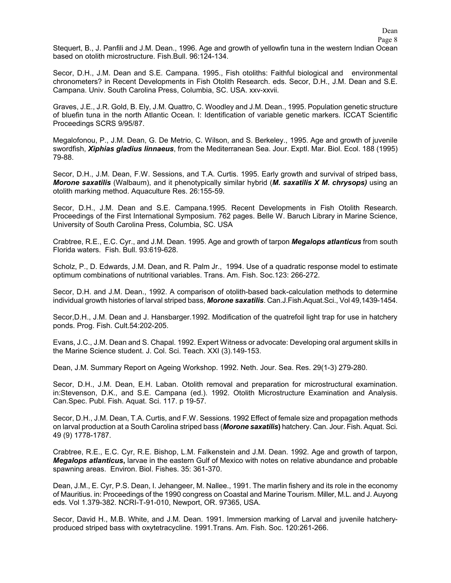Dean

Stequert, B., J. Panfili and J.M. Dean., 1996. Age and growth of yellowfin tuna in the western Indian Ocean based on otolith microstructure. Fish.Bull. 96:124-134.

Secor, D.H., J.M. Dean and S.E. Campana. 1995., Fish otoliths: Faithful biological and environmental chronometers? in Recent Developments in Fish Otolith Research. eds. Secor, D.H., J.M. Dean and S.E. Campana. Univ. South Carolina Press, Columbia, SC. USA. xxv-xxvii.

Graves, J.E., J.R. Gold, B. Ely, J.M. Quattro, C. Woodley and J.M. Dean., 1995. Population genetic structure of bluefin tuna in the north Atlantic Ocean. I: Identification of variable genetic markers. ICCAT Scientific Proceedings SCRS 9/95/87.

Megalofonou, P., J.M. Dean, G. De Metrio, C. Wilson, and S. Berkeley., 1995. Age and growth of juvenile swordfish, *Xiphias gladius linnaeus*, from the Mediterranean Sea. Jour. Exptl. Mar. Biol. Ecol. 188 (1995) 79-88.

Secor, D.H., J.M. Dean, F.W. Sessions, and T.A. Curtis. 1995. Early growth and survival of striped bass, *Morone saxatilis* (Walbaum), and it phenotypically similar hybrid (*M. saxatilis X M. chrysops)* using an otolith marking method. Aquaculture Res. 26:155-59.

Secor, D.H., J.M. Dean and S.E. Campana.1995. Recent Developments in Fish Otolith Research. Proceedings of the First International Symposium. 762 pages. Belle W. Baruch Library in Marine Science, University of South Carolina Press, Columbia, SC. USA

Crabtree, R.E., E.C. Cyr., and J.M. Dean. 1995. Age and growth of tarpon *Megalops atlanticus* from south Florida waters. Fish. Bull. 93:619-628.

Scholz, P., D. Edwards, J.M. Dean, and R. Palm Jr., 1994. Use of a quadratic response model to estimate optimum combinations of nutritional variables. Trans. Am. Fish. Soc.123: 266-272.

Secor, D.H. and J.M. Dean., 1992. A comparison of otolith-based back-calculation methods to determine individual growth histories of larval striped bass, *Morone saxatilis*. Can.J.Fish.Aquat.Sci., Vol 49,1439-1454.

Secor,D.H., J.M. Dean and J. Hansbarger.1992. Modification of the quatrefoil light trap for use in hatchery ponds. Prog. Fish. Cult.54:202-205.

Evans, J.C., J.M. Dean and S. Chapal. 1992. Expert Witness or advocate: Developing oral argument skills in the Marine Science student. J. Col. Sci. Teach. XXI (3).149-153.

Dean, J.M. Summary Report on Ageing Workshop. 1992. Neth. Jour. Sea. Res. 29(1-3) 279-280.

Secor, D.H., J.M. Dean, E.H. Laban. Otolith removal and preparation for microstructural examination. in:Stevenson, D.K., and S.E. Campana (ed.). 1992. Otolith Microstructure Examination and Analysis. Can.Spec. Publ. Fish. Aquat. Sci. 117. p 19-57.

Secor, D.H., J.M. Dean, T.A. Curtis, and F.W. Sessions. 1992 Effect of female size and propagation methods on larval production at a South Carolina striped bass (*Morone saxatilis***)** hatchery. Can. Jour. Fish. Aquat. Sci. 49 (9) 1778-1787.

Crabtree, R.E., E.C. Cyr, R.E. Bishop, L.M. Falkenstein and J.M. Dean. 1992. Age and growth of tarpon, *Megalops atlanticus***,** larvae in the eastern Gulf of Mexico with notes on relative abundance and probable spawning areas. Environ. Biol. Fishes. 35: 361-370.

Dean, J.M., E. Cyr, P.S. Dean, I. Jehangeer, M. Nallee., 1991. The marlin fishery and its role in the economy of Mauritius. in: Proceedings of the 1990 congress on Coastal and Marine Tourism. Miller, M.L. and J. Auyong eds. Vol 1.379-382. NCRI-T-91-010, Newport, OR. 97365, USA.

Secor, David H., M.B. White, and J.M. Dean. 1991. Immersion marking of Larval and juvenile hatcheryproduced striped bass with oxytetracycline. 1991.Trans. Am. Fish. Soc. 120:261-266.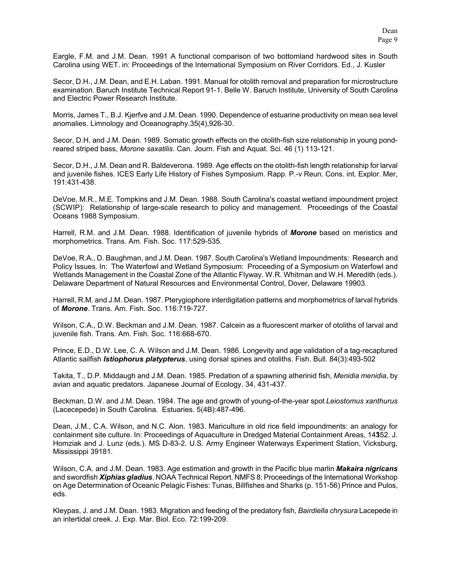Eargle, F.M. and J.M. Dean. 1991 A functional comparison of two bottomland hardwood sites in South Carolina using WET. in: Proceedings of the International Symposium on River Corridors. Ed., J. Kusler

Secor, D.H., J.M. Dean, and E.H. Laban. 1991. Manual for otolith removal and preparation for microstructure examination. Baruch Institute Technical Report 91-1. Belle W. Baruch Institute, University of South Carolina and Electric Power Research Institute.

Morris, James T., B.J. Kjerfve and J.M. Dean. 1990. Dependence of estuarine productivity on mean sea level anomalies. Limnology and Oceanography.35(4),926-30.

Secor, D.H. and J.M. Dean. 1989. Somatic growth effects on the otolith-fish size relationship in young pondreared striped bass, *Morone saxatilis*. Can. Journ. Fish and Aquat. Sci. 46 (1) 113-121.

Secor, D.H., J.M. Dean and R. Baldeverona. 1989. Age effects on the otolith-fish length relationship for larval and juvenile fishes. ICES Early Life History of Fishes Symposium. Rapp. P.-v Reun. Cons. int. Explor. Mer, 191:431-438.

DeVoe, M.R., M.E. Tompkins and J.M. Dean. 1988. South Carolina's coastal wetland impoundment project (SCWIP): Relationship of large-scale research to policy and management. Proceedings of the Coastal Oceans 1988 Symposium.

Harrell, R.M. and J.M. Dean. 1988. Identification of juvenile hybrids of *Morone* based on meristics and morphometrics. Trans. Am. Fish. Soc. 117:529-535.

DeVoe, R.A., D. Baughman, and J.M. Dean. 1987. South Carolina's Wetland Impoundments: Research and Policy Issues. In: The Waterfowl and Wetland Symposium: Proceeding of a Symposium on Waterfowl and Wetlands Management in the Coastal Zone of the Atlantic Flyway. W.R. Whitman and W.H. Meredith (eds.). Delaware Department of Natural Resources and Environmental Control, Dover, Delaware 19903.

Harrell, R.M. and J.M. Dean. 1987. Pterygiophore interdigitation patterns and morphometrics of larval hybrids of *Morone*. Trans. Am. Fish. Soc. 116:719-727.

Wilson, C.A., D.W. Beckman and J.M. Dean. 1987. Calcein as a fluorescent marker of otoliths of larval and juvenile fish. Trans. Am. Fish. Soc. 116:668-670.

Prince, E.D., D.W. Lee, C. A. Wilson and J.M. Dean. 1986. Longevity and age validation of a tag-recaptured Atlantic sailfish *Istiophorus platypterus*, using dorsal spines and otoliths. Fish. Bull. 84(3):493-502

Takita, T., D.P. Middaugh and J.M. Dean. 1985. Predation of a spawning atherinid fish, *Menidia menidia*, by avian and aquatic predators. Japanese Journal of Ecology. 34, 431-437.

Beckman, D.W. and J.M. Dean. 1984. The age and growth of young-of-the-year spot *Leiostomus xanthurus* (Lacecepede) in South Carolina. Estuaries. 5(4B):487-496.

Dean, J.M., C.A. Wilson, and N.C. Alon. 1983. Mariculture in old rice field impoundments: an analogy for containment site culture. In: Proceedings of Aquaculture in Dredged Material Containment Areas, 14352. J. Homziak and J. Lunz (eds.). MS D-83-2. U.S. Army Engineer Waterways Experiment Station, Vicksburg, Mississippi 39181.

Wilson, C.A. and J.M. Dean. 1983. Age estimation and growth in the Pacific blue marlin *Makaira nigricans* and swordfish *Xiphias gladius*. NOAA Technical Report. NMFS 8: Proceedings of the International Workshop on Age Determination of Oceanic Pelagic Fishes: Tunas, Billfishes and Sharks (p. 151-56) Prince and Pulos, eds.

Kleypas, J. and J.M. Dean. 1983. Migration and feeding of the predatory fish, *Bairdiella chrysura* Lacepede in an intertidal creek. J. Exp. Mar. Biol. Eco. 72:199-209.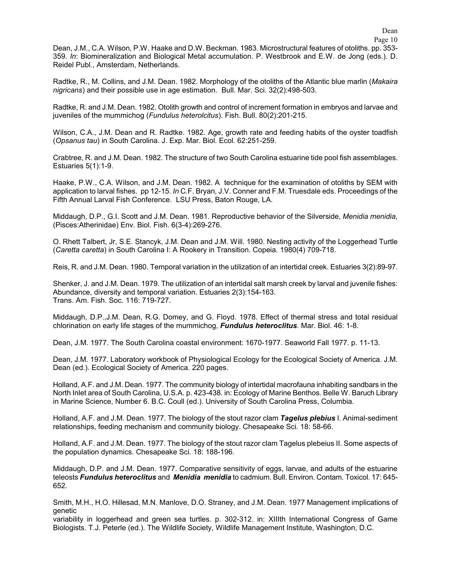Dean, J.M., C.A. Wilson, P.W. Haake and D.W. Beckman. 1983. Microstructural features of otoliths. pp. 353- 359. *In*: Biomineralization and Biological Metal accumulation. P. Westbrook and E.W. de Jong (eds.). D. Reidel Publ., Amsterdam, Netherlands.

Radtke, R., M. Collins, and J.M. Dean. 1982. Morphology of the otoliths of the Atlantic blue marlin (*Makaira nigricans*) and their possible use in age estimation. Bull. Mar. Sci. 32(2):498-503.

Radtke, R. and J.M. Dean. 1982. Otolith growth and control of increment formation in embryos and larvae and juveniles of the mummichog (*Fundulus heterolcitus*). Fish. Bull. 80(2):201-215.

Wilson, C.A., J.M. Dean and R. Radtke. 1982. Age, growth rate and feeding habits of the oyster toadfish (*Opsanus tau*) in South Carolina. J. Exp. Mar. Biol. Ecol. 62:251-259.

Crabtree, R. and J.M. Dean. 1982. The structure of two South Carolina estuarine tide pool fish assemblages. Estuaries 5(1):1-9.

Haake, P.W., C.A. Wilson, and J.M. Dean. 1982. A technique for the examination of otoliths by SEM with application to larval fishes. pp 12-15. *In* C.F. Bryan, J.V. Conner and F.M. Truesdale eds. Proceedings of the Fifth Annual Larval Fish Conference. LSU Press, Baton Rouge, LA.

Middaugh, D.P., G.I. Scott and J.M. Dean. 1981. Reproductive behavior of the Silverside, *Menidia menidia*, (Pisces:Atherinidae) Env. Biol. Fish. 6(3-4):269-276.

O. Rhett Talbert, Jr, S.E. Stancyk, J.M. Dean and J.M. Will. 1980. Nesting activity of the Loggerhead Turtle (*Caretta caretta*) in South Carolina I: A Rookery in Transition. Copeia. 1980(4) 709-718.

Reis, R. and J.M. Dean. 1980. Temporal variation in the utilization of an intertidal creek. Estuaries 3(2):89-97.

Shenker, J. and J.M. Dean. 1979. The utilization of an intertidal salt marsh creek by larval and juvenile fishes: Abundance, diversity and temporal variation. Estuaries 2(3):154-163. Trans. Am. Fish. Soc. 116: 719-727.

Middaugh, D.P.,J.M. Dean, R.G. Domey, and G. Floyd. 1978. Effect of thermal stress and total residual chlorination on early life stages of the mummichog, *Fundulus heteroclitus*. Mar. Biol. 46: 1-8.

Dean, J.M. 1977. The South Carolina coastal environment: 1670-1977. Seaworld Fall 1977. p. 11-13.

Dean, J.M. 1977. Laboratory workbook of Physiological Ecology for the Ecological Society of America. J.M. Dean (ed.). Ecological Society of America. 220 pages.

Holland, A.F. and J.M. Dean. 1977. The community biology of intertidal macrofauna inhabiting sandbars in the North Inlet area of South Carolina, U.S.A. p. 423-438. in: Ecology of Marine Benthos. Belle W. Baruch Library in Marine Science, Number 6. B.C. Coull (ed.). University of South Carolina Press, Columbia.

Holland, A.F. and J.M. Dean. 1977. The biology of the stout razor clam *Tagelus plebius* I. Animal-sediment relationships, feeding mechanism and community biology. Chesapeake Sci. 18: 58-66.

Holland, A.F. and J.M. Dean. 1977. The biology of the stout razor clam Tagelus plebeius II. Some aspects of the population dynamics. Chesapeake Sci. 18: 188-196.

Middaugh, D.P. and J.M. Dean. 1977. Comparative sensitivity of eggs, larvae, and adults of the estuarine teleosts *Fundulus heteroclitus* and *Menidia menidia* to cadmium. Bull. Environ. Contam. Toxicol. 17: 645- 652.

Smith, M.H., H.O. Hillesad, M.N. Manlove, D.O. Straney, and J.M. Dean. 1977 Management implications of genetic

variability in loggerhead and green sea turtles. p. 302-312. in: XIIIth International Congress of Game Biologists. T.J. Peterle (ed.). The Wildlife Society, Wildlife Management Institute, Washington, D.C.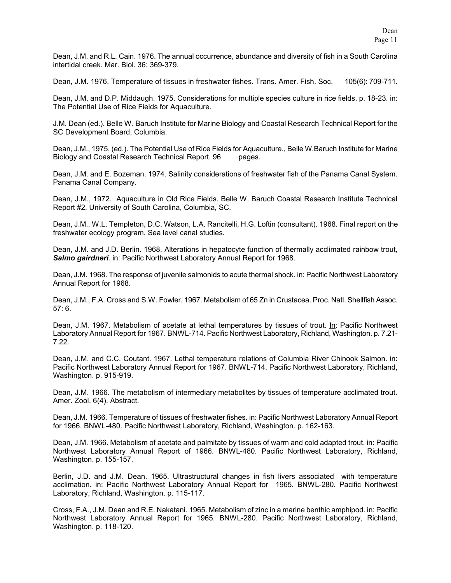Dean, J.M. and R.L. Cain. 1976. The annual occurrence, abundance and diversity of fish in a South Carolina intertidal creek. Mar. Biol. 36: 369-379.

Dean, J.M. 1976. Temperature of tissues in freshwater fishes. Trans. Amer. Fish. Soc. 105(6): 709-711.

Dean, J.M. and D.P. Middaugh. 1975. Considerations for multiple species culture in rice fields. p. 18-23. in: The Potential Use of Rice Fields for Aquaculture.

J.M. Dean (ed.). Belle W. Baruch Institute for Marine Biology and Coastal Research Technical Report for the SC Development Board, Columbia.

Dean, J.M., 1975. (ed.). The Potential Use of Rice Fields for Aquaculture., Belle W.Baruch Institute for Marine Biology and Coastal Research Technical Report. 96 pages.

Dean, J.M. and E. Bozeman. 1974. Salinity considerations of freshwater fish of the Panama Canal System. Panama Canal Company.

Dean, J.M., 1972. Aquaculture in Old Rice Fields. Belle W. Baruch Coastal Research Institute Technical Report #2. University of South Carolina, Columbia, SC.

Dean, J.M., W.L. Templeton, D.C. Watson, L.A. Rancitelli, H.G. Loftin (consultant). 1968. Final report on the freshwater ecology program. Sea level canal studies.

Dean, J.M. and J.D. Berlin. 1968. Alterations in hepatocyte function of thermally acclimated rainbow trout, *Salmo gairdneri.* in: Pacific Northwest Laboratory Annual Report for 1968.

Dean, J.M. 1968. The response of juvenile salmonids to acute thermal shock. in: Pacific Northwest Laboratory Annual Report for 1968.

Dean, J.M., F.A. Cross and S.W. Fowler. 1967. Metabolism of 65 Zn in Crustacea. Proc. Natl. Shellfish Assoc. 57: 6.

Dean, J.M. 1967. Metabolism of acetate at lethal temperatures by tissues of trout. In: Pacific Northwest Laboratory Annual Report for 1967. BNWL-714. Pacific Northwest Laboratory, Richland, Washington. p. 7.21- 7.22.

Dean, J.M. and C.C. Coutant. 1967. Lethal temperature relations of Columbia River Chinook Salmon. in: Pacific Northwest Laboratory Annual Report for 1967. BNWL-714. Pacific Northwest Laboratory, Richland, Washington. p. 915-919.

Dean, J.M. 1966. The metabolism of intermediary metabolites by tissues of temperature acclimated trout. Amer. Zool. 6(4). Abstract.

Dean, J.M. 1966. Temperature of tissues of freshwater fishes. in: Pacific Northwest Laboratory Annual Report for 1966. BNWL-480. Pacific Northwest Laboratory, Richland, Washington. p. 162-163.

Dean, J.M. 1966. Metabolism of acetate and palmitate by tissues of warm and cold adapted trout. in: Pacific Northwest Laboratory Annual Report of 1966. BNWL-480. Pacific Northwest Laboratory, Richland, Washington. p. 155-157.

Berlin, J.D. and J.M. Dean. 1965. Ultrastructural changes in fish livers associated with temperature acclimation. in: Pacific Northwest Laboratory Annual Report for 1965. BNWL-280. Pacific Northwest Laboratory, Richland, Washington. p. 115-117.

Cross, F.A., J.M. Dean and R.E. Nakatani. 1965. Metabolism of zinc in a marine benthic amphipod. in: Pacific Northwest Laboratory Annual Report for 1965. BNWL-280. Pacific Northwest Laboratory, Richland, Washington. p. 118-120.